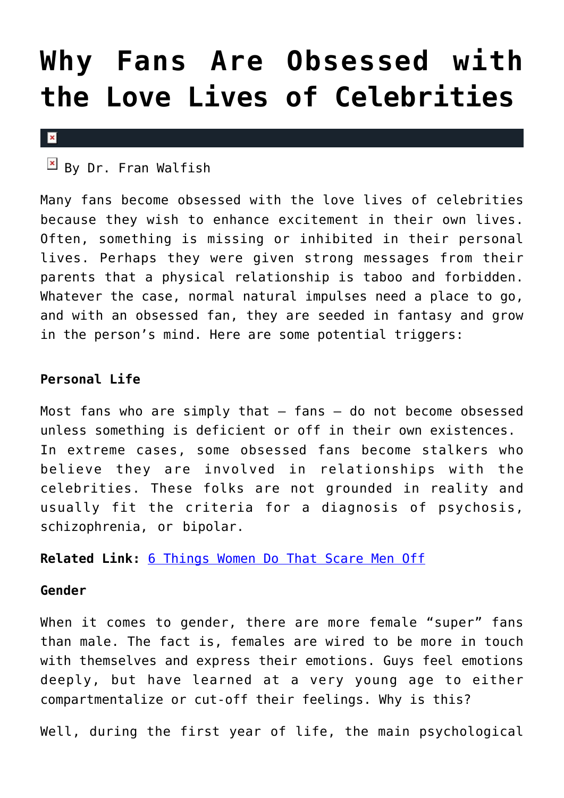# **[Why Fans Are Obsessed with](https://cupidspulse.com/39420/fans-obsessed-love-lives-celebrities/) [the Love Lives of Celebrities](https://cupidspulse.com/39420/fans-obsessed-love-lives-celebrities/)**

#### $\vert x \vert$

 $\overline{B}$  By Dr. Fran Walfish

Many fans become obsessed with the love lives of celebrities because they wish to enhance excitement in their own lives. Often, something is missing or inhibited in their personal lives. Perhaps they were given strong messages from their parents that a physical relationship is taboo and forbidden. Whatever the case, normal natural impulses need a place to go, and with an obsessed fan, they are seeded in fantasy and grow in the person's mind. Here are some potential triggers:

### **Personal Life**

Most fans who are simply that  $-$  fans  $-$  do not become obsessed unless something is deficient or off in their own existences. In extreme cases, some obsessed fans become stalkers who believe they are involved in relationships with the celebrities. These folks are not grounded in reality and usually fit the criteria for a diagnosis of psychosis, schizophrenia, or bipolar.

**Related Link:** [6 Things Women Do That Scare Men Off](http://cupidspulse.com/6-things-women-do-scare-men-off/)

#### **Gender**

When it comes to gender, there are more female "super" fans than male. The fact is, females are wired to be more in touch with themselves and express their emotions. Guys feel emotions deeply, but have learned at a very young age to either compartmentalize or cut-off their feelings. Why is this?

Well, during the first year of life, the main psychological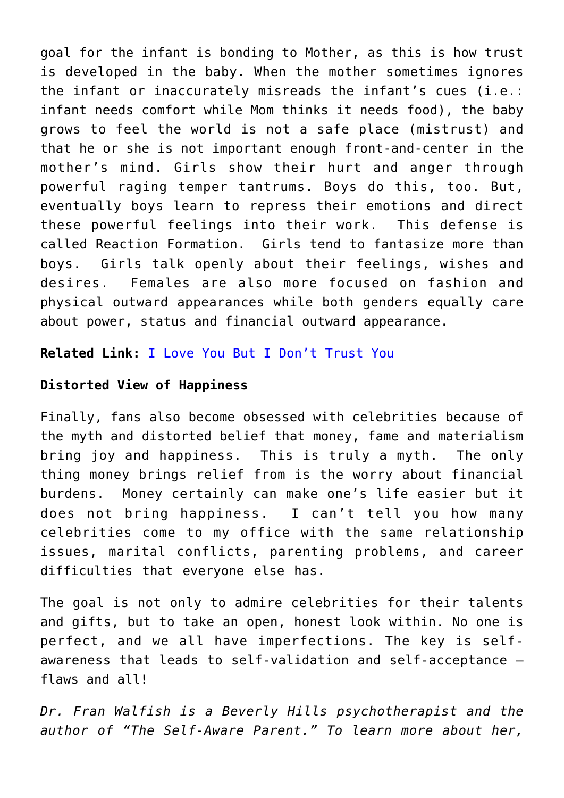goal for the infant is bonding to Mother, as this is how trust is developed in the baby. When the mother sometimes ignores the infant or inaccurately misreads the infant's cues (i.e.: infant needs comfort while Mom thinks it needs food), the baby grows to feel the world is not a safe place (mistrust) and that he or she is not important enough front-and-center in the mother's mind. Girls show their hurt and anger through powerful raging temper tantrums. Boys do this, too. But, eventually boys learn to repress their emotions and direct these powerful feelings into their work. This defense is called Reaction Formation. Girls tend to fantasize more than boys. Girls talk openly about their feelings, wishes and desires. Females are also more focused on fashion and physical outward appearances while both genders equally care about power, status and financial outward appearance.

**Related Link:** [I Love You But I Don't Trust You](http://cupidspulse.com/tag/i-love-you-but-i-dont-trust-you/)

## **Distorted View of Happiness**

Finally, fans also become obsessed with celebrities because of the myth and distorted belief that money, fame and materialism bring joy and happiness. This is truly a myth. The only thing money brings relief from is the worry about financial burdens. Money certainly can make one's life easier but it does not bring happiness. I can't tell you how many celebrities come to my office with the same relationship issues, marital conflicts, parenting problems, and career difficulties that everyone else has.

The goal is not only to admire celebrities for their talents and gifts, but to take an open, honest look within. No one is perfect, and we all have imperfections. The key is selfawareness that leads to self-validation and self-acceptance flaws and all!

*Dr. Fran Walfish is a Beverly Hills psychotherapist and the author of "The Self-Aware Parent." To learn more about her,*